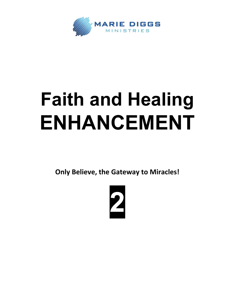

## **Faith and Healing ENHANCEMENT**

**Only Believe, the Gateway to Miracles!**